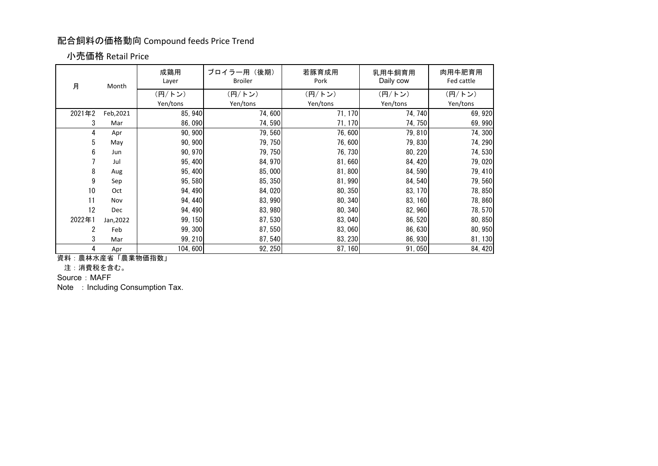## 配合飼料の価格動向 Compound feeds Price Trend

## 小売価格 Retail Price

| 月      | Month     | 成鶏用<br>Layer | ブロイラー用 (後期)<br><b>Broiler</b> | 若豚育成用<br>Pork | 乳用牛飼育用<br>Daily cow | 肉用牛肥育用<br>Fed cattle |
|--------|-----------|--------------|-------------------------------|---------------|---------------------|----------------------|
|        |           | (円/トン)       | (円/トン)                        | (円/トン)        | (円/トン)              | (円/トン)               |
|        |           | Yen/tons     | Yen/tons                      | Yen/tons      | Yen/tons            | Yen/tons             |
| 2021年2 | Feb, 2021 | 85, 940      | 74,600                        | 71, 170       | 74, 740             | 69,920               |
| 3      | Mar       | 86,090       | 74,590                        | 71, 170       | 74, 750             | 69,990               |
| 4      | Apr       | 90, 900      | 79,560                        | 76,600        | 79,810              | 74,300               |
| 5      | May       | 90, 900      | 79, 750                       | 76,600        | 79,830              | 74, 290              |
| 6      | Jun       | 90, 970      | 79, 750                       | 76, 730       | 80, 220             | 74,530               |
|        | Jul       | 95,400       | 84, 970                       | 81,660        | 84, 420             | 79,020               |
| 8      | Aug       | 95, 400      | 85,000                        | 81,800        | 84,590              | 79, 410              |
| 9      | Sep       | 95,580       | 85, 350                       | 81,990        | 84,540              | 79,560               |
| 10     | Oct       | 94, 490      | 84,020                        | 80, 350       | 83, 170             | 78,850               |
| 11     | Nov       | 94, 440      | 83, 990                       | 80, 340       | 83, 160             | 78,860               |
| 12     | Dec       | 94, 490      | 83, 980                       | 80, 340       | 82,960              | 78,570               |
| 2022年1 | Jan, 2022 | 99, 150      | 87,530                        | 83,040        | 86,520              | 80, 850              |
| 2      | Feb       | 99, 300      | 87,550                        | 83,060        | 86,630              | 80, 950              |
| 3      | Mar       | 99, 210      | 87,540                        | 83, 230       | 86, 930             | 81, 130              |
| 4      | Apr       | 104,600      | 92, 250                       | 87, 160       | 91,050              | 84, 420              |

資料:農林水産省「農業物価指数」

注:消費税を含む。

Source : MAFF

Note : Including Consumption Tax.